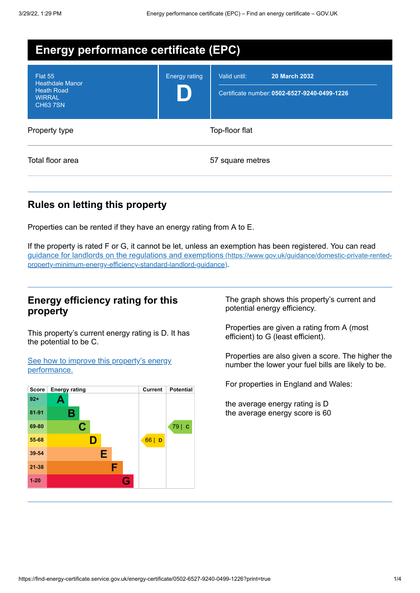| <b>Energy performance certificate (EPC)</b>                                                |                      |                                                                                      |  |
|--------------------------------------------------------------------------------------------|----------------------|--------------------------------------------------------------------------------------|--|
| Flat 55<br><b>Heathdale Manor</b><br><b>Heath Road</b><br><b>WIRRAL</b><br><b>CH63 7SN</b> | <b>Energy rating</b> | Valid until:<br><b>20 March 2032</b><br>Certificate number: 0502-6527-9240-0499-1226 |  |
| Property type                                                                              | Top-floor flat       |                                                                                      |  |
| Total floor area                                                                           |                      | 57 square metres                                                                     |  |

### **Rules on letting this property**

Properties can be rented if they have an energy rating from A to E.

If the property is rated F or G, it cannot be let, unless an exemption has been registered. You can read guidance for landlords on the regulations and exemptions (https://www.gov.uk/guidance/domestic-private-rented[property-minimum-energy-efficiency-standard-landlord-guidance\)](https://www.gov.uk/guidance/domestic-private-rented-property-minimum-energy-efficiency-standard-landlord-guidance).

#### **Energy efficiency rating for this property**

This property's current energy rating is D. It has the potential to be C.

See how to improve this property's energy [performance.](#page-2-0)



The graph shows this property's current and potential energy efficiency.

Properties are given a rating from A (most efficient) to G (least efficient).

Properties are also given a score. The higher the number the lower your fuel bills are likely to be.

For properties in England and Wales:

the average energy rating is D the average energy score is 60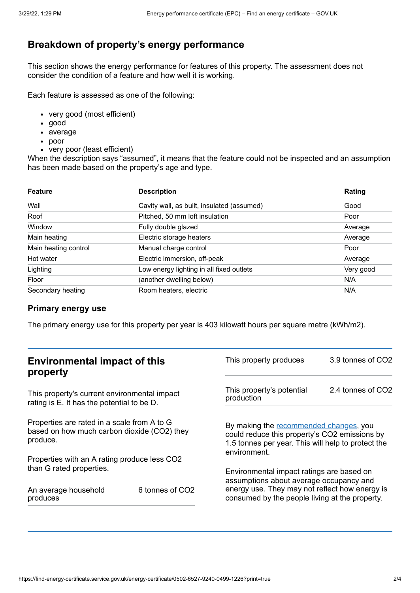## **Breakdown of property's energy performance**

This section shows the energy performance for features of this property. The assessment does not consider the condition of a feature and how well it is working.

Each feature is assessed as one of the following:

- very good (most efficient)
- good
- average
- poor
- very poor (least efficient)

When the description says "assumed", it means that the feature could not be inspected and an assumption has been made based on the property's age and type.

| <b>Feature</b>       | <b>Description</b>                         | Rating    |
|----------------------|--------------------------------------------|-----------|
| Wall                 | Cavity wall, as built, insulated (assumed) | Good      |
| Roof                 | Pitched, 50 mm loft insulation             | Poor      |
| Window               | Fully double glazed                        | Average   |
| Main heating         | Electric storage heaters                   | Average   |
| Main heating control | Manual charge control                      | Poor      |
| Hot water            | Electric immersion, off-peak               | Average   |
| Lighting             | Low energy lighting in all fixed outlets   | Very good |
| Floor                | (another dwelling below)                   | N/A       |
| Secondary heating    | Room heaters, electric                     | N/A       |

#### **Primary energy use**

The primary energy use for this property per year is 403 kilowatt hours per square metre (kWh/m2).

| <b>Environmental impact of this</b><br>property                                                        |                             | This property produces                                                                                                                                        | 3.9 tonnes of CO2 |
|--------------------------------------------------------------------------------------------------------|-----------------------------|---------------------------------------------------------------------------------------------------------------------------------------------------------------|-------------------|
| This property's current environmental impact<br>rating is E. It has the potential to be D.             |                             | This property's potential<br>production                                                                                                                       | 2.4 tonnes of CO2 |
| Properties are rated in a scale from A to G<br>based on how much carbon dioxide (CO2) they<br>produce. |                             | By making the recommended changes, you<br>could reduce this property's CO2 emissions by<br>1.5 tonnes per year. This will help to protect the<br>environment. |                   |
| Properties with an A rating produce less CO2                                                           |                             |                                                                                                                                                               |                   |
| than G rated properties.                                                                               |                             | Environmental impact ratings are based on<br>assumptions about average occupancy and                                                                          |                   |
| An average household<br>produces                                                                       | 6 tonnes of CO <sub>2</sub> | energy use. They may not reflect how energy is<br>consumed by the people living at the property.                                                              |                   |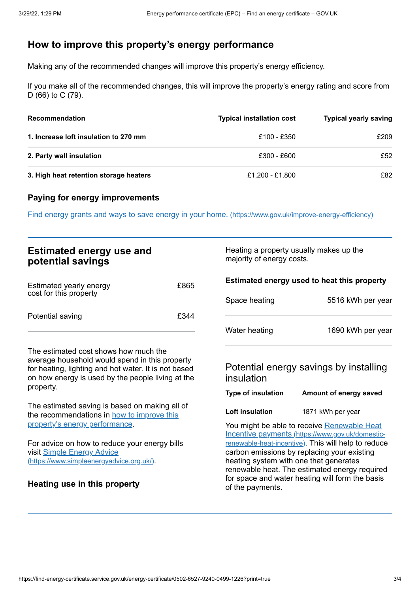# <span id="page-2-0"></span>**How to improve this property's energy performance**

Making any of the recommended changes will improve this property's energy efficiency.

If you make all of the recommended changes, this will improve the property's energy rating and score from D (66) to C (79).

| <b>Recommendation</b>                  | <b>Typical installation cost</b> | <b>Typical yearly saving</b> |
|----------------------------------------|----------------------------------|------------------------------|
| 1. Increase loft insulation to 270 mm  | £100 - £350                      | £209                         |
| 2. Party wall insulation               | £300 - £600                      | £52                          |
| 3. High heat retention storage heaters | £1,200 - £1,800                  | £82                          |

#### **Paying for energy improvements**

Find energy grants and ways to save energy in your home. [\(https://www.gov.uk/improve-energy-efficiency\)](https://www.gov.uk/improve-energy-efficiency)

| <b>Estimated energy use and</b><br>potential savings                                                                                                                                                              |      | Heating a property usually makes up the<br>majority of energy costs.                                                                                                                                                                                                                                                                                                    |                                                                  |
|-------------------------------------------------------------------------------------------------------------------------------------------------------------------------------------------------------------------|------|-------------------------------------------------------------------------------------------------------------------------------------------------------------------------------------------------------------------------------------------------------------------------------------------------------------------------------------------------------------------------|------------------------------------------------------------------|
| Estimated yearly energy<br>cost for this property                                                                                                                                                                 | £865 | Space heating                                                                                                                                                                                                                                                                                                                                                           | Estimated energy used to heat this property<br>5516 kWh per year |
| Potential saving                                                                                                                                                                                                  | £344 | Water heating                                                                                                                                                                                                                                                                                                                                                           | 1690 kWh per year                                                |
| The estimated cost shows how much the<br>average household would spend in this property<br>for heating, lighting and hot water. It is not based<br>on how energy is used by the people living at the<br>property. |      | insulation                                                                                                                                                                                                                                                                                                                                                              | Potential energy savings by installing                           |
|                                                                                                                                                                                                                   |      | <b>Type of insulation</b>                                                                                                                                                                                                                                                                                                                                               | Amount of energy saved                                           |
| The estimated saving is based on making all of<br>the recommendations in how to improve this                                                                                                                      |      | Loft insulation                                                                                                                                                                                                                                                                                                                                                         | 1871 kWh per year                                                |
| property's energy performance.<br>For advice on how to reduce your energy bills<br>visit Simple Energy Advice<br>(https://www.simpleenergyadvice.org.uk/).<br>Heating use in this property                        |      | You might be able to receive Renewable Heat<br>Incentive payments (https://www.gov.uk/domestic-<br>renewable-heat-incentive). This will help to reduce<br>carbon emissions by replacing your existing<br>heating system with one that generates<br>renewable heat. The estimated energy required<br>for space and water heating will form the basis<br>of the payments. |                                                                  |